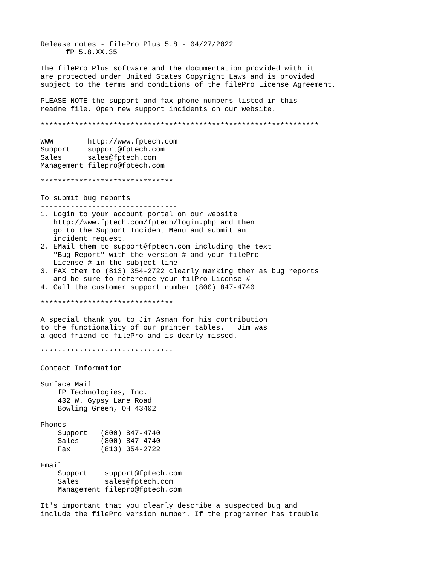Release notes - filePro Plus 5.8 - 04/27/2022 fP 5.8.XX.35 The filePro Plus software and the documentation provided with it are protected under United States Copyright Laws and is provided subject to the terms and conditions of the filePro License Agreement. PLEASE NOTE the support and fax phone numbers listed in this readme file. Open new support incidents on our website. \*\*\*\*\*\*\*\*\*\*\*\*\*\*\*\*\*\*\*\*\*\*\*\*\*\*\*\*\*\*\*\*\*\*\*\*\*\*\*\*\*\*\*\*\*\*\*\*\*\*\*\*\*\*\*\*\*\*\*\*\*\*\*\*\* WWW http://www.fptech.com Support support@fptech.com Sales sales@fptech.com Management filepro@fptech.com \*\*\*\*\*\*\*\*\*\*\*\*\*\*\*\*\*\*\*\*\*\*\*\*\*\*\*\*\*\*\* To submit bug reports -------------------------------- 1. Login to your account portal on our website http://www.fptech.com/fptech/login.php and then go to the Support Incident Menu and submit an incident request. 2. EMail them to support@fptech.com including the text "Bug Report" with the version # and your filePro License # in the subject line 3. FAX them to (813) 354-2722 clearly marking them as bug reports and be sure to reference your filPro License # 4. Call the customer support number (800) 847-4740 \*\*\*\*\*\*\*\*\*\*\*\*\*\*\*\*\*\*\*\*\*\*\*\*\*\*\*\*\*\*\* A special thank you to Jim Asman for his contribution to the functionality of our printer tables. Jim was a good friend to filePro and is dearly missed. \*\*\*\*\*\*\*\*\*\*\*\*\*\*\*\*\*\*\*\*\*\*\*\*\*\*\*\*\*\*\* Contact Information Surface Mail fP Technologies, Inc. 432 W. Gypsy Lane Road Bowling Green, OH 43402 Phones Support (800) 847-4740 Sales (800) 847-4740 Fax (813) 354-2722 Email Support support@fptech.com Sales sales@fptech.com Management filepro@fptech.com It's important that you clearly describe a suspected bug and

include the filePro version number. If the programmer has trouble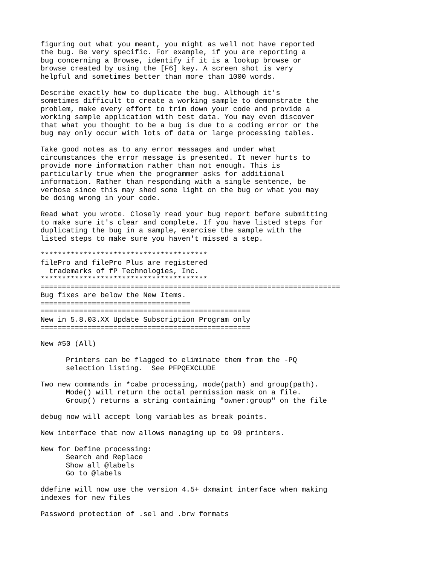figuring out what you meant, you might as well not have reported the bug. Be very specific. For example, if you are reporting a bug concerning a Browse, identify if it is a lookup browse or browse created by using the [F6] key. A screen shot is very helpful and sometimes better than more than 1000 words.

Describe exactly how to duplicate the bug. Although it's sometimes difficult to create a working sample to demonstrate the problem, make every effort to trim down your code and provide a working sample application with test data. You may even discover that what you thought to be a bug is due to a coding error or the bug may only occur with lots of data or large processing tables.

Take good notes as to any error messages and under what circumstances the error message is presented. It never hurts to provide more information rather than not enough. This is particularly true when the programmer asks for additional information. Rather than responding with a single sentence, be verbose since this may shed some light on the bug or what you may be doing wrong in your code.

Read what you wrote. Closely read your bug report before submitting to make sure it's clear and complete. If you have listed steps for duplicating the bug in a sample, exercise the sample with the listed steps to make sure you haven't missed a step.

\*\*\*\*\*\*\*\*\*\*\*\*\*\*\*\*\*\*\*\*\*\*\*\*\*\*\*\*\*\*\*\*\*\*\*\*\*\*\* filePro and filePro Plus are registered trademarks of fP Technologies, Inc. \*\*\*\*\*\*\*\*\*\*\*\*\*\*\*\*\*\*\*\*\*\*\*\*\*\*\*\*\*\*\*\*\*\*\*\*\*\*\* ====================================================================== Bug fixes are below the New Items. =================================== ================================================= New in 5.8.03.XX Update Subscription Program only =================================================

New #50 (All)

Printers can be flagged to eliminate them from the -PQ selection listing. See PFPQEXCLUDE

Two new commands in \*cabe processing, mode(path) and group(path). Mode() will return the octal permission mask on a file. Group() returns a string containing "owner:group" on the file

debug now will accept long variables as break points.

New interface that now allows managing up to 99 printers.

New for Define processing: Search and Replace Show all @labels Go to @labels

ddefine will now use the version 4.5+ dxmaint interface when making indexes for new files

Password protection of .sel and .brw formats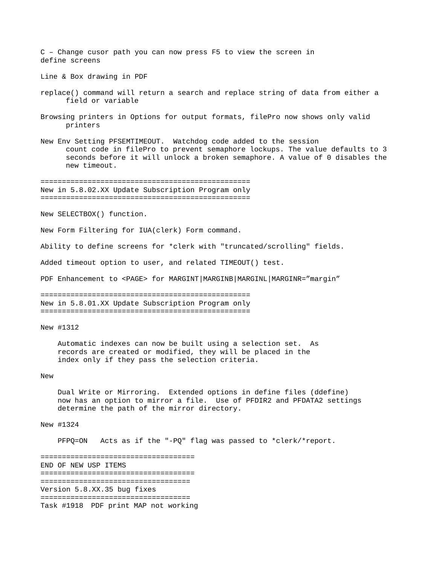C – Change cusor path you can now press F5 to view the screen in define screens

Line & Box drawing in PDF

- replace() command will return a search and replace string of data from either a field or variable
- Browsing printers in Options for output formats, filePro now shows only valid printers
- New Env Setting PFSEMTIMEOUT. Watchdog code added to the session count code in filePro to prevent semaphore lockups. The value defaults to 3 seconds before it will unlock a broken semaphore. A value of 0 disables the new timeout.

================================================= New in 5.8.02.XX Update Subscription Program only =================================================

New SELECTBOX() function.

New Form Filtering for IUA(clerk) Form command.

Ability to define screens for \*clerk with "truncated/scrolling" fields.

Added timeout option to user, and related TIMEOUT() test.

PDF Enhancement to <PAGE> for MARGINT|MARGINB|MARGINL|MARGINR="margin"

================================================= New in 5.8.01.XX Update Subscription Program only =================================================

New #1312

 Automatic indexes can now be built using a selection set. As records are created or modified, they will be placed in the index only if they pass the selection criteria.

#### New

 Dual Write or Mirroring. Extended options in define files (ddefine) now has an option to mirror a file. Use of PFDIR2 and PFDATA2 settings determine the path of the mirror directory.

## New #1324

PFPQ=ON Acts as if the "-PQ" flag was passed to \*clerk/\*report.

====================================

END OF NEW USP ITEMS ==================================== =================================== Version 5.8.XX.35 bug fixes =================================== Task #1918 PDF print MAP not working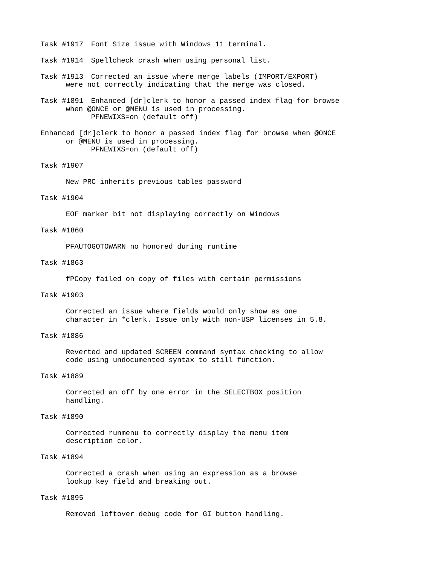Task #1917 Font Size issue with Windows 11 terminal.

- Task #1914 Spellcheck crash when using personal list.
- Task #1913 Corrected an issue where merge labels (IMPORT/EXPORT) were not correctly indicating that the merge was closed.
- Task #1891 Enhanced [dr]clerk to honor a passed index flag for browse when @ONCE or @MENU is used in processing. PFNEWIXS=on (default off)
- Enhanced [dr]clerk to honor a passed index flag for browse when @ONCE or @MENU is used in processing. PFNEWIXS=on (default off)

### Task #1907

New PRC inherits previous tables password

### Task #1904

EOF marker bit not displaying correctly on Windows

### Task #1860

PFAUTOGOTOWARN no honored during runtime

#### Task #1863

fPCopy failed on copy of files with certain permissions

### Task #1903

Corrected an issue where fields would only show as one character in \*clerk. Issue only with non-USP licenses in 5.8.

## Task #1886

Reverted and updated SCREEN command syntax checking to allow code using undocumented syntax to still function.

## Task #1889

Corrected an off by one error in the SELECTBOX position handling.

## Task #1890

Corrected runmenu to correctly display the menu item description color.

# Task #1894

Corrected a crash when using an expression as a browse lookup key field and breaking out.

#### Task #1895

Removed leftover debug code for GI button handling.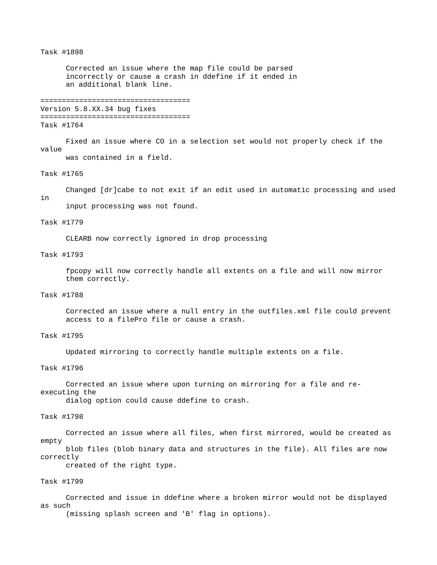### Task #1898

Corrected an issue where the map file could be parsed incorrectly or cause a crash in ddefine if it ended in an additional blank line.

```
===================================
```
Version 5.8.XX.34 bug fixes =================================== Task #1764

Fixed an issue where CO in a selection set would not properly check if the value

was contained in a field.

### Task #1765

Changed [dr]cabe to not exit if an edit used in automatic processing and used in

input processing was not found.

#### Task #1779

CLEARB now correctly ignored in drop processing

### Task #1793

fpcopy will now correctly handle all extents on a file and will now mirror them correctly.

### Task #1788

Corrected an issue where a null entry in the outfiles.xml file could prevent access to a filePro file or cause a crash.

# Task #1795

Updated mirroring to correctly handle multiple extents on a file.

### Task #1796

Corrected an issue where upon turning on mirroring for a file and reexecuting the

dialog option could cause ddefine to crash.

Task #1798

Corrected an issue where all files, when first mirrored, would be created as empty blob files (blob binary data and structures in the file). All files are now correctly

created of the right type.

# Task #1799

Corrected and issue in ddefine where a broken mirror would not be displayed as such (missing splash screen and 'B' flag in options).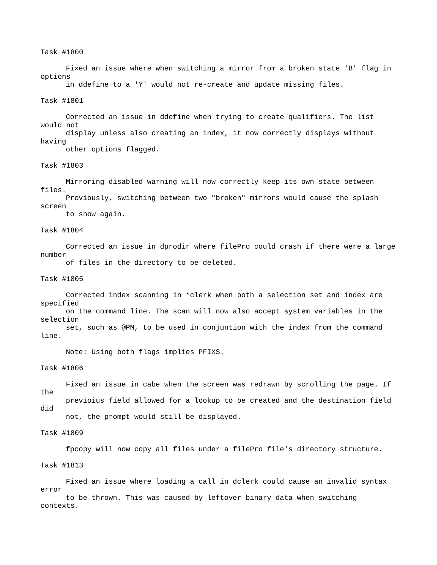### Task #1800

Fixed an issue where when switching a mirror from a broken state 'B' flag in options

in ddefine to a 'Y' would not re-create and update missing files.

### Task #1801

Corrected an issue in ddefine when trying to create qualifiers. The list would not

display unless also creating an index, it now correctly displays without having other options flagged.

### Task #1803

Mirroring disabled warning will now correctly keep its own state between files.

Previously, switching between two "broken" mirrors would cause the splash screen

to show again.

### Task #1804

Corrected an issue in dprodir where filePro could crash if there were a large number

of files in the directory to be deleted.

## Task #1805

Corrected index scanning in \*clerk when both a selection set and index are specified on the command line. The scan will now also accept system variables in the

selection set, such as @PM, to be used in conjuntion with the index from the command line.

Note: Using both flags implies PFIXS.

### Task #1806

Fixed an issue in cabe when the screen was redrawn by scrolling the page. If the previoius field allowed for a lookup to be created and the destination field did not, the prompt would still be displayed.

#### Task #1809

fpcopy will now copy all files under a filePro file's directory structure.

### Task #1813

Fixed an issue where loading a call in dclerk could cause an invalid syntax error to be thrown. This was caused by leftover binary data when switching

contexts.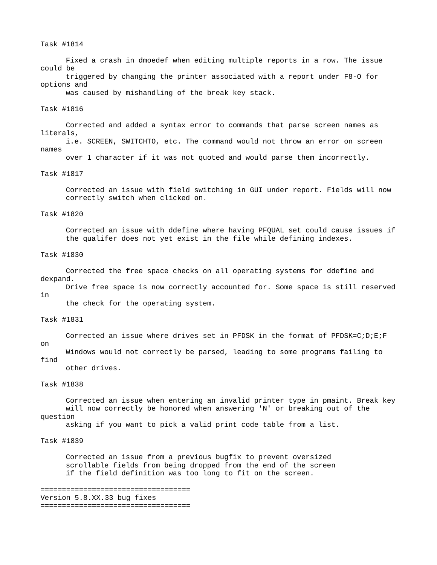### Task #1814

Fixed a crash in dmoedef when editing multiple reports in a row. The issue could be

triggered by changing the printer associated with a report under F8-O for options and

was caused by mishandling of the break key stack.

#### Task #1816

Corrected and added a syntax error to commands that parse screen names as literals,

i.e. SCREEN, SWITCHTO, etc. The command would not throw an error on screen names

over 1 character if it was not quoted and would parse them incorrectly.

### Task #1817

Corrected an issue with field switching in GUI under report. Fields will now correctly switch when clicked on.

### Task #1820

Corrected an issue with ddefine where having PFQUAL set could cause issues if the qualifer does not yet exist in the file while defining indexes.

### Task #1830

Corrected the free space checks on all operating systems for ddefine and dexpand.

Drive free space is now correctly accounted for. Some space is still reserved in

the check for the operating system.

# Task #1831

Corrected an issue where drives set in PFDSK in the format of PFDSK=C;D;E;F

on

Windows would not correctly be parsed, leading to some programs failing to find

# other drives.

### Task #1838

Corrected an issue when entering an invalid printer type in pmaint. Break key will now correctly be honored when answering 'N' or breaking out of the question

asking if you want to pick a valid print code table from a list.

### Task #1839

Corrected an issue from a previous bugfix to prevent oversized scrollable fields from being dropped from the end of the screen if the field definition was too long to fit on the screen.

```
===================================
Version 5.8.XX.33 bug fixes
===================================
```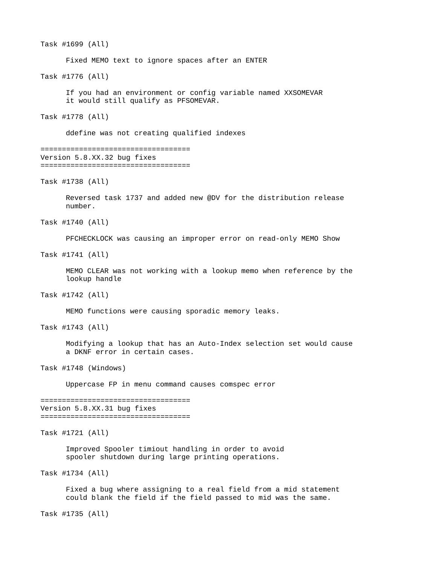Task #1699 (All)

Fixed MEMO text to ignore spaces after an ENTER

Task #1776 (All)

If you had an environment or config variable named XXSOMEVAR it would still qualify as PFSOMEVAR.

Task #1778 (All)

ddefine was not creating qualified indexes

=================================== Version 5.8.XX.32 bug fixes ===================================

Task #1738 (All)

Reversed task 1737 and added new @DV for the distribution release number.

Task #1740 (All)

PFCHECKLOCK was causing an improper error on read-only MEMO Show

Task #1741 (All)

MEMO CLEAR was not working with a lookup memo when reference by the lookup handle

Task #1742 (All)

MEMO functions were causing sporadic memory leaks.

Task #1743 (All)

Modifying a lookup that has an Auto-Index selection set would cause a DKNF error in certain cases.

Task #1748 (Windows)

Uppercase FP in menu command causes comspec error

=================================== Version 5.8.XX.31 bug fixes ===================================

Task #1721 (All)

Improved Spooler timiout handling in order to avoid spooler shutdown during large printing operations.

Task #1734 (All)

Fixed a bug where assigning to a real field from a mid statement could blank the field if the field passed to mid was the same.

Task #1735 (All)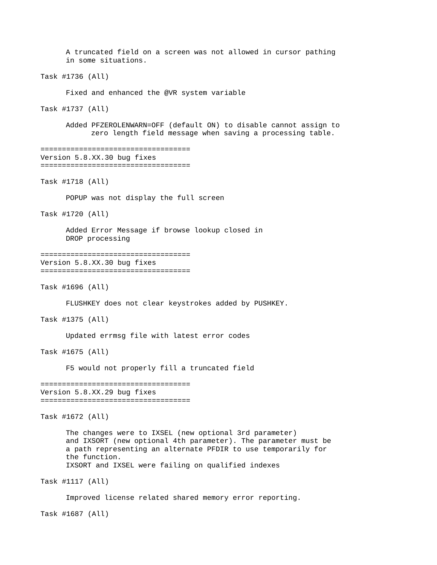A truncated field on a screen was not allowed in cursor pathing in some situations.

Task #1736 (All)

Fixed and enhanced the @VR system variable

Task #1737 (All)

Added PFZEROLENWARN=OFF (default ON) to disable cannot assign to zero length field message when saving a processing table.

```
===================================
Version 5.8.XX.30 bug fixes
===================================
```
Task #1718 (All)

POPUP was not display the full screen

Task #1720 (All)

Added Error Message if browse lookup closed in DROP processing

```
===================================
Version 5.8.XX.30 bug fixes
===================================
```
Task #1696 (All)

FLUSHKEY does not clear keystrokes added by PUSHKEY.

Task #1375 (All)

Updated errmsg file with latest error codes

Task #1675 (All)

F5 would not properly fill a truncated field

=================================== Version 5.8.XX.29 bug fixes ===================================

Task #1672 (All)

The changes were to IXSEL (new optional 3rd parameter) and IXSORT (new optional 4th parameter). The parameter must be a path representing an alternate PFDIR to use temporarily for the function. IXSORT and IXSEL were failing on qualified indexes

Task #1117 (All)

Improved license related shared memory error reporting.

Task #1687 (All)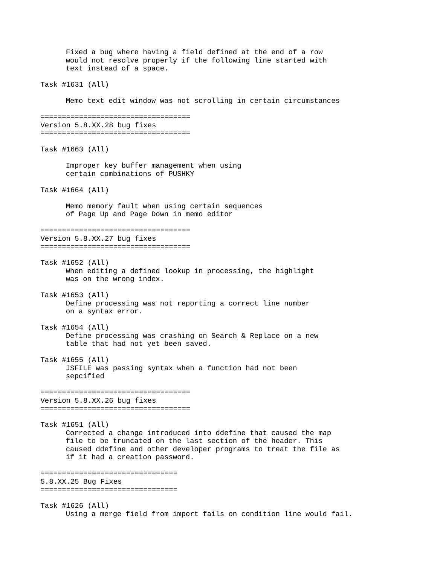Fixed a bug where having a field defined at the end of a row would not resolve properly if the following line started with text instead of a space. Task #1631 (All) Memo text edit window was not scrolling in certain circumstances =================================== Version 5.8.XX.28 bug fixes =================================== Task #1663 (All) Improper key buffer management when using certain combinations of PUSHKY Task #1664 (All) Memo memory fault when using certain sequences of Page Up and Page Down in memo editor =================================== Version 5.8.XX.27 bug fixes =================================== Task #1652 (All) When editing a defined lookup in processing, the highlight was on the wrong index. Task #1653 (All) Define processing was not reporting a correct line number on a syntax error. Task #1654 (All) Define processing was crashing on Search & Replace on a new table that had not yet been saved. Task #1655 (All) JSFILE was passing syntax when a function had not been sepcified =================================== Version 5.8.XX.26 bug fixes =================================== Task #1651 (All) Corrected a change introduced into ddefine that caused the map file to be truncated on the last section of the header. This caused ddefine and other developer programs to treat the file as if it had a creation password. ================================ 5.8.XX.25 Bug Fixes ================================ Task #1626 (All) Using a merge field from import fails on condition line would fail.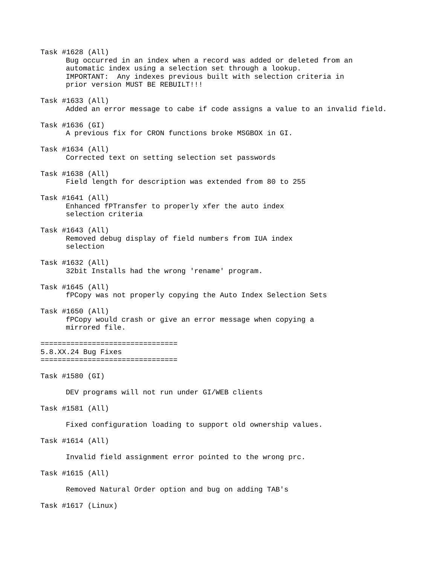Task #1628 (All) Bug occurred in an index when a record was added or deleted from an automatic index using a selection set through a lookup. IMPORTANT: Any indexes previous built with selection criteria in prior version MUST BE REBUILT!!! Task #1633 (All) Added an error message to cabe if code assigns a value to an invalid field. Task #1636 (GI) A previous fix for CRON functions broke MSGBOX in GI. Task #1634 (All) Corrected text on setting selection set passwords Task #1638 (All) Field length for description was extended from 80 to 255 Task #1641 (All) Enhanced fPTransfer to properly xfer the auto index selection criteria Task #1643 (All) Removed debug display of field numbers from IUA index selection Task #1632 (All) 32bit Installs had the wrong 'rename' program. Task #1645 (All) fPCopy was not properly copying the Auto Index Selection Sets Task #1650 (All) fPCopy would crash or give an error message when copying a mirrored file. ================================ 5.8.XX.24 Bug Fixes ================================ Task #1580 (GI) DEV programs will not run under GI/WEB clients Task #1581 (All) Fixed configuration loading to support old ownership values. Task #1614 (All) Invalid field assignment error pointed to the wrong prc. Task #1615 (All) Removed Natural Order option and bug on adding TAB's Task #1617 (Linux)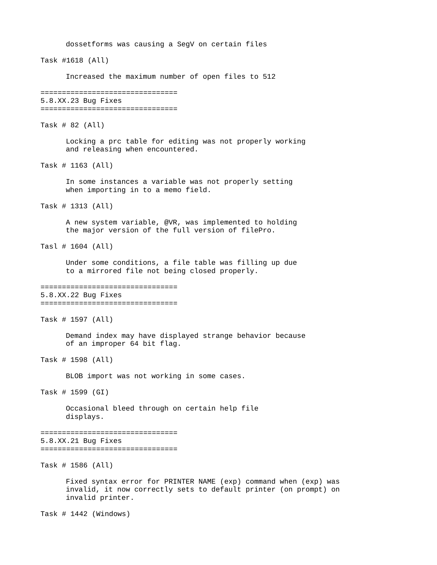dossetforms was causing a SegV on certain files Task #1618 (All) Increased the maximum number of open files to 512 ================================ 5.8.XX.23 Bug Fixes ================================ Task # 82 (All) Locking a prc table for editing was not properly working and releasing when encountered. Task # 1163 (All) In some instances a variable was not properly setting when importing in to a memo field. Task # 1313 (All) A new system variable, @VR, was implemented to holding the major version of the full version of filePro. Tasl # 1604 (All) Under some conditions, a file table was filling up due to a mirrored file not being closed properly. ================================ 5.8.XX.22 Bug Fixes ================================ Task # 1597 (All) Demand index may have displayed strange behavior because of an improper 64 bit flag. Task # 1598 (All) BLOB import was not working in some cases. Task # 1599 (GI) Occasional bleed through on certain help file displays. ================================ 5.8.XX.21 Bug Fixes ================================ Task # 1586 (All) Fixed syntax error for PRINTER NAME (exp) command when (exp) was invalid, it now correctly sets to default printer (on prompt) on invalid printer. Task # 1442 (Windows)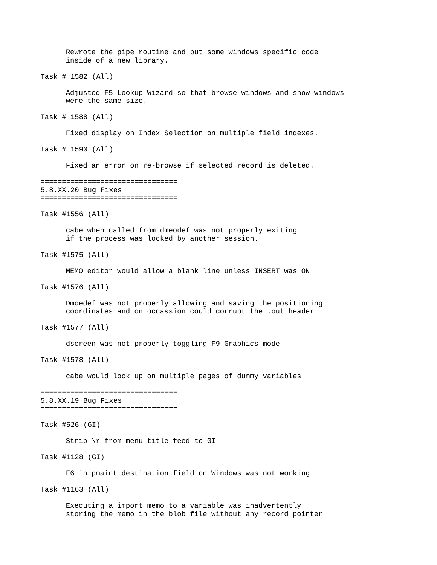Rewrote the pipe routine and put some windows specific code inside of a new library. Task # 1582 (All) Adjusted F5 Lookup Wizard so that browse windows and show windows were the same size. Task # 1588 (All) Fixed display on Index Selection on multiple field indexes. Task # 1590 (All) Fixed an error on re-browse if selected record is deleted. ================================ 5.8.XX.20 Bug Fixes ================================ Task #1556 (All) cabe when called from dmeodef was not properly exiting if the process was locked by another session. Task #1575 (All) MEMO editor would allow a blank line unless INSERT was ON Task #1576 (All) Dmoedef was not properly allowing and saving the positioning coordinates and on occassion could corrupt the .out header Task #1577 (All) dscreen was not properly toggling F9 Graphics mode Task #1578 (All) cabe would lock up on multiple pages of dummy variables ================================ 5.8.XX.19 Bug Fixes ================================ Task #526 (GI) Strip \r from menu title feed to GI Task #1128 (GI) F6 in pmaint destination field on Windows was not working Task #1163 (All) Executing a import memo to a variable was inadvertently storing the memo in the blob file without any record pointer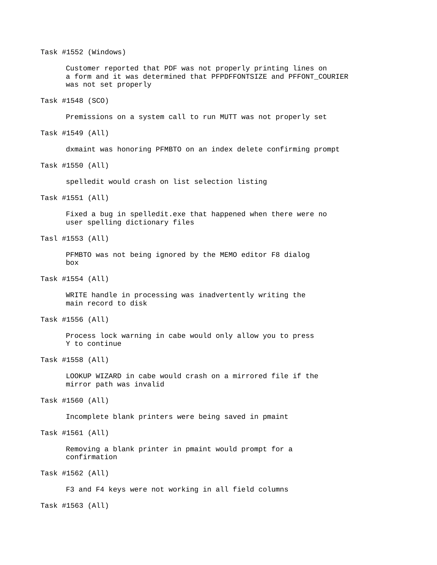Task #1552 (Windows) Customer reported that PDF was not properly printing lines on a form and it was determined that PFPDFFONTSIZE and PFFONT\_COURIER was not set properly Task #1548 (SCO) Premissions on a system call to run MUTT was not properly set Task #1549 (All) dxmaint was honoring PFMBTO on an index delete confirming prompt Task #1550 (All) spelledit would crash on list selection listing Task #1551 (All) Fixed a bug in spelledit.exe that happened when there were no user spelling dictionary files Tasl #1553 (All) PFMBTO was not being ignored by the MEMO editor F8 dialog box Task #1554 (All) WRITE handle in processing was inadvertently writing the main record to disk Task #1556 (All) Process lock warning in cabe would only allow you to press Y to continue Task #1558 (All) LOOKUP WIZARD in cabe would crash on a mirrored file if the mirror path was invalid Task #1560 (All) Incomplete blank printers were being saved in pmaint Task #1561 (All) Removing a blank printer in pmaint would prompt for a confirmation Task #1562 (All) F3 and F4 keys were not working in all field columns Task #1563 (All)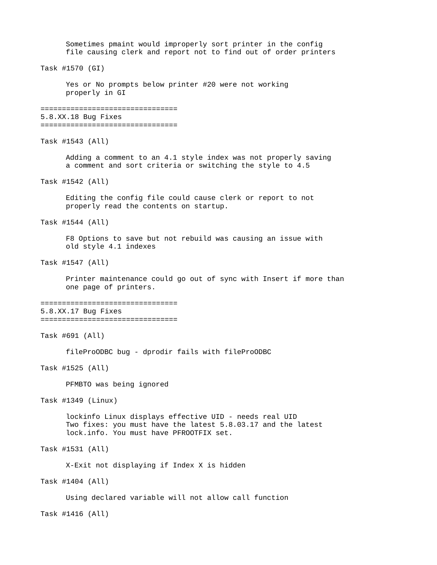Sometimes pmaint would improperly sort printer in the config file causing clerk and report not to find out of order printers Task #1570 (GI) Yes or No prompts below printer #20 were not working properly in GI ================================ 5.8.XX.18 Bug Fixes ================================ Task #1543 (All) Adding a comment to an 4.1 style index was not properly saving a comment and sort criteria or switching the style to 4.5 Task #1542 (All) Editing the config file could cause clerk or report to not properly read the contents on startup. Task #1544 (All) F8 Options to save but not rebuild was causing an issue with old style 4.1 indexes Task #1547 (All) Printer maintenance could go out of sync with Insert if more than one page of printers. ================================ 5.8.XX.17 Bug Fixes ================================ Task #691 (All) fileProODBC bug - dprodir fails with fileProODBC Task #1525 (All) PFMBTO was being ignored Task #1349 (Linux) lockinfo Linux displays effective UID - needs real UID Two fixes: you must have the latest 5.8.03.17 and the latest lock.info. You must have PFROOTFIX set. Task #1531 (All) X-Exit not displaying if Index X is hidden Task #1404 (All) Using declared variable will not allow call function Task #1416 (All)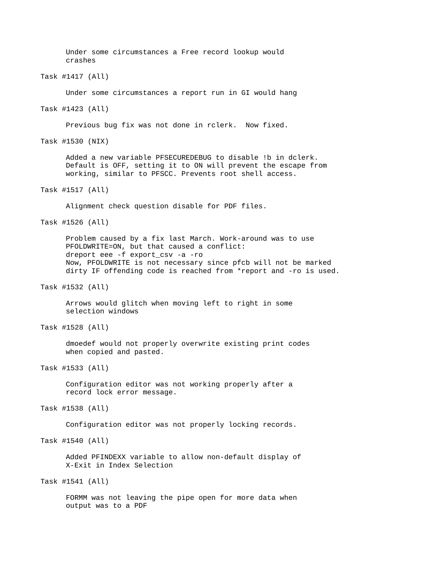Under some circumstances a Free record lookup would crashes

Task #1417 (All)

Under some circumstances a report run in GI would hang

Task #1423 (All)

Previous bug fix was not done in rclerk. Now fixed.

Task #1530 (NIX)

Added a new variable PFSECUREDEBUG to disable !b in dclerk. Default is OFF, setting it to ON will prevent the escape from working, similar to PFSCC. Prevents root shell access.

Task #1517 (All)

Alignment check question disable for PDF files.

Task #1526 (All)

Problem caused by a fix last March. Work-around was to use PFOLDWRITE=ON, but that caused a conflict: dreport eee -f export\_csv -a -ro Now, PFOLDWRITE is not necessary since pfcb will not be marked dirty IF offending code is reached from \*report and -ro is used.

Task #1532 (All)

Arrows would glitch when moving left to right in some selection windows

Task #1528 (All)

dmoedef would not properly overwrite existing print codes when copied and pasted.

Task #1533 (All)

Configuration editor was not working properly after a record lock error message.

Task #1538 (All)

Configuration editor was not properly locking records.

Task #1540 (All)

Added PFINDEXX variable to allow non-default display of X-Exit in Index Selection

Task #1541 (All)

FORMM was not leaving the pipe open for more data when output was to a PDF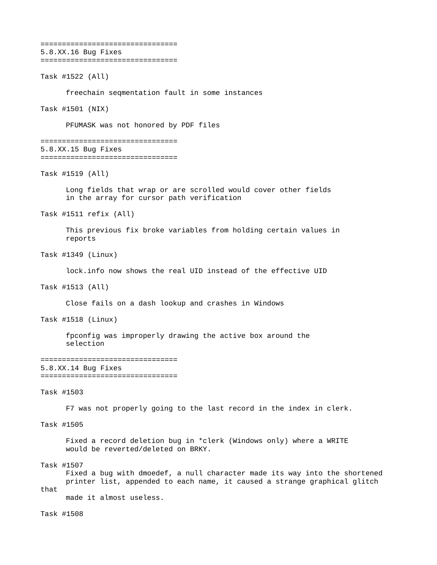================================ 5.8.XX.16 Bug Fixes ================================

Task #1522 (All)

freechain seqmentation fault in some instances

Task #1501 (NIX)

PFUMASK was not honored by PDF files

================================ 5.8.XX.15 Bug Fixes ================================

Task #1519 (All)

Long fields that wrap or are scrolled would cover other fields in the array for cursor path verification

Task #1511 refix (All)

This previous fix broke variables from holding certain values in reports

Task #1349 (Linux)

lock.info now shows the real UID instead of the effective UID

Task #1513 (All)

Close fails on a dash lookup and crashes in Windows

Task #1518 (Linux)

fpconfig was improperly drawing the active box around the selection

================================ 5.8.XX.14 Bug Fixes ================================

Task #1503

F7 was not properly going to the last record in the index in clerk.

Task #1505

Fixed a record deletion bug in \*clerk (Windows only) where a WRITE would be reverted/deleted on BRKY.

Task #1507

Fixed a bug with dmoedef, a null character made its way into the shortened printer list, appended to each name, it caused a strange graphical glitch that made it almost useless.

Task #1508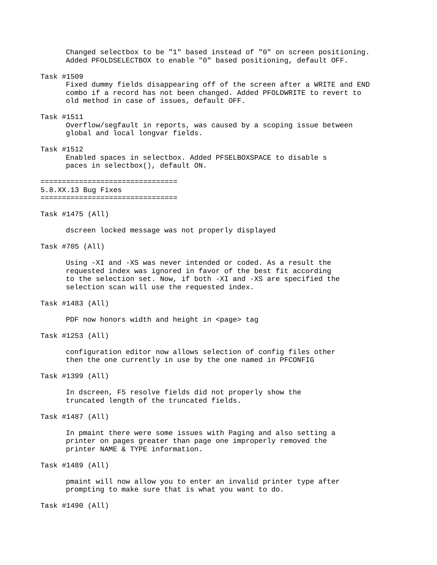Changed selectbox to be "1" based instead of "0" on screen positioning. Added PFOLDSELECTBOX to enable "0" based positioning, default OFF.

Task #1509

Fixed dummy fields disappearing off of the screen after a WRITE and END combo if a record has not been changed. Added PFOLDWRITE to revert to old method in case of issues, default OFF.

#### Task #1511

Overflow/segfault in reports, was caused by a scoping issue between global and local longvar fields.

### Task #1512

Enabled spaces in selectbox. Added PFSELBOXSPACE to disable s paces in selectbox(), default ON.

================================ 5.8.XX.13 Bug Fixes

================================

Task #1475 (All)

dscreen locked message was not properly displayed

Task #705 (All)

Using -XI and -XS was never intended or coded. As a result the requested index was ignored in favor of the best fit according to the selection set. Now, if both -XI and -XS are specified the selection scan will use the requested index.

#### Task #1483 (All)

PDF now honors width and height in <page> tag

Task #1253 (All)

configuration editor now allows selection of config files other then the one currently in use by the one named in PFCONFIG

Task #1399 (All)

In dscreen, F5 resolve fields did not properly show the truncated length of the truncated fields.

```
Task #1487 (All)
```
In pmaint there were some issues with Paging and also setting a printer on pages greater than page one improperly removed the printer NAME & TYPE information.

Task #1489 (All)

pmaint will now allow you to enter an invalid printer type after prompting to make sure that is what you want to do.

Task #1490 (All)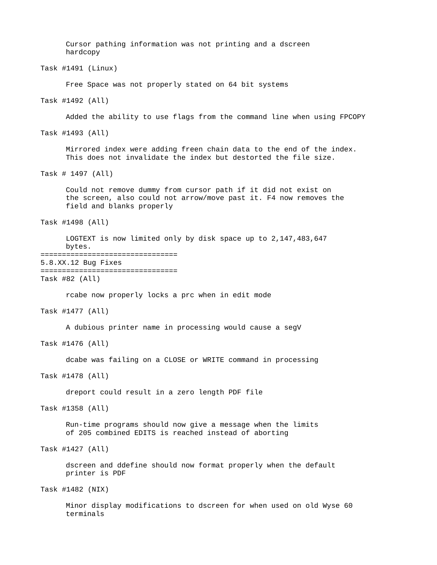Cursor pathing information was not printing and a dscreen hardcopy

```
Task #1491 (Linux)
```
Free Space was not properly stated on 64 bit systems

Task #1492 (All)

Added the ability to use flags from the command line when using FPCOPY

Task #1493 (All)

Mirrored index were adding freen chain data to the end of the index. This does not invalidate the index but destorted the file size.

Task # 1497 (All)

Could not remove dummy from cursor path if it did not exist on the screen, also could not arrow/move past it. F4 now removes the field and blanks properly

```
Task #1498 (All)
```
LOGTEXT is now limited only by disk space up to 2,147,483,647 bytes. ================================ 5.8.XX.12 Bug Fixes ================================

Task #82 (All)

rcabe now properly locks a prc when in edit mode

```
Task #1477 (All)
```
A dubious printer name in processing would cause a segV

Task #1476 (All)

dcabe was failing on a CLOSE or WRITE command in processing

Task #1478 (All)

dreport could result in a zero length PDF file

Task #1358 (All)

Run-time programs should now give a message when the limits of 205 combined EDITS is reached instead of aborting

Task #1427 (All)

dscreen and ddefine should now format properly when the default printer is PDF

Task #1482 (NIX)

Minor display modifications to dscreen for when used on old Wyse 60 terminals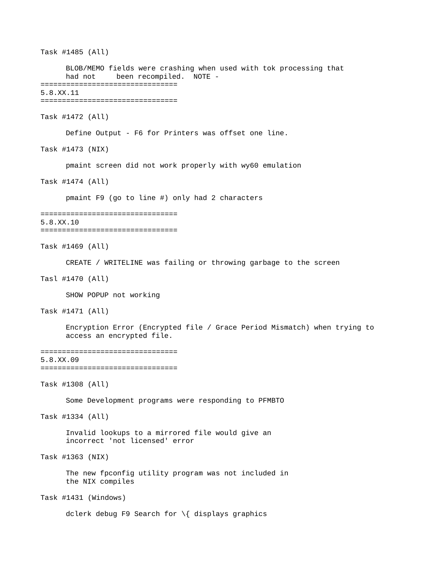Task #1485 (All) BLOB/MEMO fields were crashing when used with tok processing that had not been recompiled. NOTE - ================================ 5.8.XX.11 ================================ Task #1472 (All) Define Output - F6 for Printers was offset one line. Task #1473 (NIX) pmaint screen did not work properly with wy60 emulation Task #1474 (All) pmaint F9 (go to line #) only had 2 characters ================================ 5.8.XX.10 ================================ Task #1469 (All) CREATE / WRITELINE was failing or throwing garbage to the screen Tasl #1470 (All) SHOW POPUP not working Task #1471 (All) Encryption Error (Encrypted file / Grace Period Mismatch) when trying to access an encrypted file. ================================ 5.8.XX.09 ================================ Task #1308 (All) Some Development programs were responding to PFMBTO Task #1334 (All) Invalid lookups to a mirrored file would give an incorrect 'not licensed' error Task #1363 (NIX) The new fpconfig utility program was not included in the NIX compiles Task #1431 (Windows) dclerk debug F9 Search for \{ displays graphics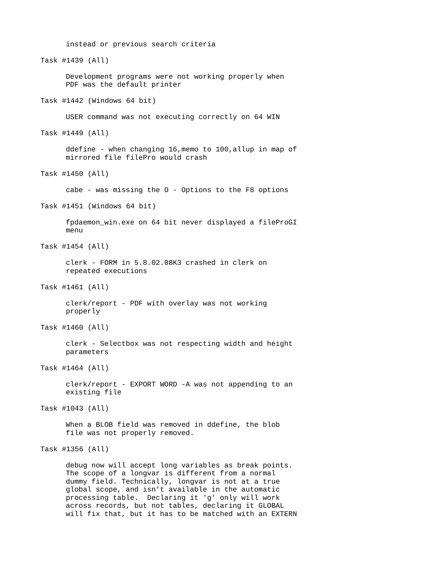instead or previous search criteria Task #1439 (All) Development programs were not working properly when PDF was the default printer Task #1442 (Windows 64 bit) USER command was not executing correctly on 64 WIN Task #1449 (All) ddefine - when changing 16,memo to 100,allup in map of mirrored file filePro would crash Task #1450 (All) cabe - was missing the O - Options to the F8 options Task #1451 (Windows 64 bit) fpdaemon\_win.exe on 64 bit never displayed a fileProGI menu Task #1454 (All) clerk - FORM in 5.8.02.08K3 crashed in clerk on repeated executions Task #1461 (All) clerk/report - PDF with overlay was not working properly Task #1460 (All) clerk - Selectbox was not respecting width and height parameters Task #1464 (All) clerk/report - EXPORT WORD -A was not appending to an existing file Task #1043 (All) When a BLOB field was removed in ddefine, the blob file was not properly removed. Task #1356 (All) debug now will accept long variables as break points. The scope of a longvar is different from a normal dummy field. Technically, longvar is not at a true global scope, and isn't available in the automatic

processing table. Declaring it 'g' only will work across records, but not tables, declaring it GLOBAL will fix that, but it has to be matched with an EXTERN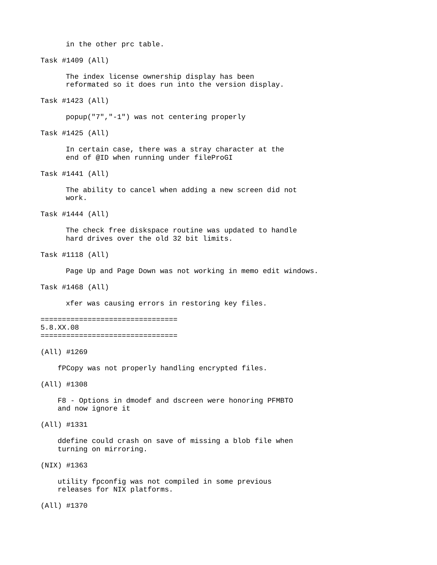in the other prc table.

Task #1409 (All) The index license ownership display has been reformated so it does run into the version display. Task #1423 (All) popup("7","-1") was not centering properly Task #1425 (All) In certain case, there was a stray character at the end of @ID when running under fileProGI Task #1441 (All) The ability to cancel when adding a new screen did not work. Task #1444 (All) The check free diskspace routine was updated to handle hard drives over the old 32 bit limits. Task #1118 (All) Page Up and Page Down was not working in memo edit windows. Task #1468 (All) xfer was causing errors in restoring key files. ================================ 5.8.XX.08 ================================ (All) #1269 fPCopy was not properly handling encrypted files. (All) #1308 F8 - Options in dmodef and dscreen were honoring PFMBTO and now ignore it (All) #1331 ddefine could crash on save of missing a blob file when turning on mirroring.

(NIX) #1363

 utility fpconfig was not compiled in some previous releases for NIX platforms.

(All) #1370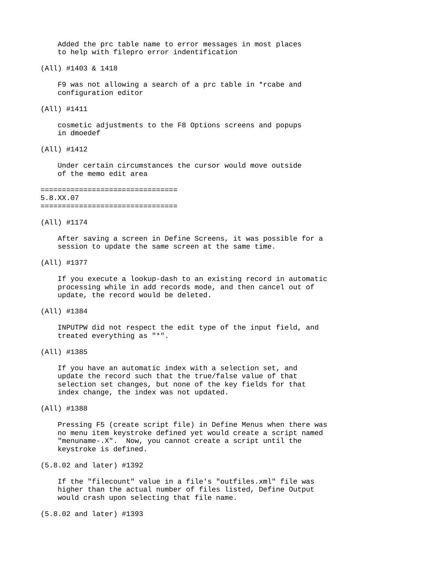Added the prc table name to error messages in most places to help with filepro error indentification

(All) #1403 & 1418

 F9 was not allowing a search of a prc table in \*rcabe and configuration editor

(All) #1411

 cosmetic adjustments to the F8 Options screens and popups in dmoedef

(All) #1412

 Under certain circumstances the cursor would move outside of the memo edit area

================================ 5.8.XX.07 ================================

#### (All) #1174

 After saving a screen in Define Screens, it was possible for a session to update the same screen at the same time.

### (All) #1377

 If you execute a lookup-dash to an existing record in automatic processing while in add records mode, and then cancel out of update, the record would be deleted.

#### (All) #1384

 INPUTPW did not respect the edit type of the input field, and treated everything as "\*".

### (All) #1385

 If you have an automatic index with a selection set, and update the record such that the true/false value of that selection set changes, but none of the key fields for that index change, the index was not updated.

(All) #1388

 Pressing F5 (create script file) in Define Menus when there was no menu item keystroke defined yet would create a script named "menuname-.X". Now, you cannot create a script until the keystroke is defined.

#### (5.8.02 and later) #1392

 If the "filecount" value in a file's "outfiles.xml" file was higher than the actual number of files listed, Define Output would crash upon selecting that file name.

(5.8.02 and later) #1393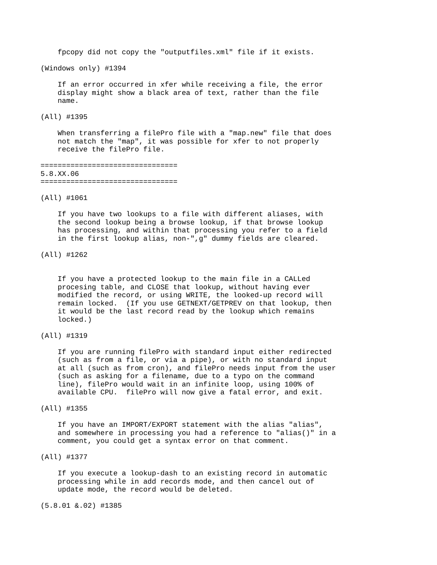fpcopy did not copy the "outputfiles.xml" file if it exists.

(Windows only) #1394

 If an error occurred in xfer while receiving a file, the error display might show a black area of text, rather than the file name.

(All) #1395

 When transferring a filePro file with a "map.new" file that does not match the "map", it was possible for xfer to not properly receive the filePro file.

================================ 5.8.XX.06 ================================

(All) #1061

 If you have two lookups to a file with different aliases, with the second lookup being a browse lookup, if that browse lookup has processing, and within that processing you refer to a field in the first lookup alias, non-",g" dummy fields are cleared.

(All) #1262

 If you have a protected lookup to the main file in a CALLed procesing table, and CLOSE that lookup, without having ever modified the record, or using WRITE, the looked-up record will remain locked. (If you use GETNEXT/GETPREV on that lookup, then it would be the last record read by the lookup which remains locked.)

# (All) #1319

 If you are running filePro with standard input either redirected (such as from a file, or via a pipe), or with no standard input at all (such as from cron), and filePro needs input from the user (such as asking for a filename, due to a typo on the command line), filePro would wait in an infinite loop, using 100% of available CPU. filePro will now give a fatal error, and exit.

(All) #1355

 If you have an IMPORT/EXPORT statement with the alias "alias", and somewhere in processing you had a reference to "alias()" in a comment, you could get a syntax error on that comment.

## (All) #1377

 If you execute a lookup-dash to an existing record in automatic processing while in add records mode, and then cancel out of update mode, the record would be deleted.

(5.8.01 &.02) #1385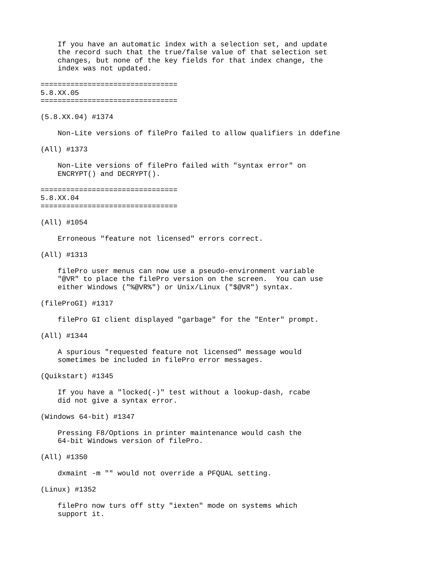If you have an automatic index with a selection set, and update the record such that the true/false value of that selection set changes, but none of the key fields for that index change, the index was not updated.

================================ 5.8.XX.05

================================

(5.8.XX.04) #1374

Non-Lite versions of filePro failed to allow qualifiers in ddefine

(All) #1373

 Non-Lite versions of filePro failed with "syntax error" on ENCRYPT() and DECRYPT().

================================ 5.8.XX.04

================================

### (All) #1054

Erroneous "feature not licensed" errors correct.

(All) #1313

 filePro user menus can now use a pseudo-environment variable "@VR" to place the filePro version on the screen. You can use either Windows ("%@VR%") or Unix/Linux ("\$@VR") syntax.

#### (fileProGI) #1317

filePro GI client displayed "garbage" for the "Enter" prompt.

## (All) #1344

 A spurious "requested feature not licensed" message would sometimes be included in filePro error messages.

### (Quikstart) #1345

 If you have a "locked(-)" test without a lookup-dash, rcabe did not give a syntax error.

(Windows 64-bit) #1347

 Pressing F8/Options in printer maintenance would cash the 64-bit Windows version of filePro.

## (All) #1350

dxmaint -m "" would not override a PFQUAL setting.

### (Linux) #1352

 filePro now turs off stty "iexten" mode on systems which support it.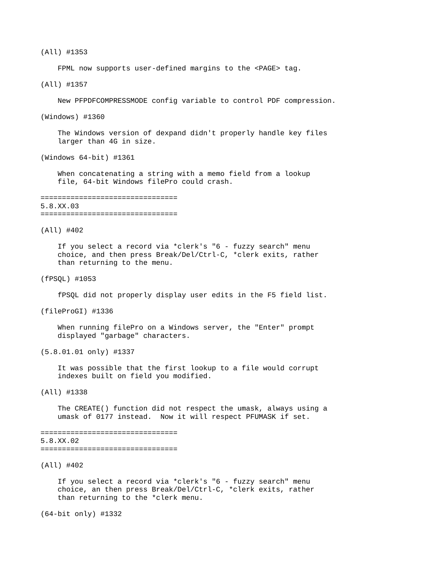(All) #1353

FPML now supports user-defined margins to the <PAGE> tag.

### (All) #1357

New PFPDFCOMPRESSMODE config variable to control PDF compression.

### (Windows) #1360

 The Windows version of dexpand didn't properly handle key files larger than 4G in size.

(Windows 64-bit) #1361

 When concatenating a string with a memo field from a lookup file, 64-bit Windows filePro could crash.

# ================================

# 5.8.XX.03

================================

#### (All) #402

 If you select a record via \*clerk's "6 - fuzzy search" menu choice, and then press Break/Del/Ctrl-C, \*clerk exits, rather than returning to the menu.

## (fPSQL) #1053

fPSQL did not properly display user edits in the F5 field list.

#### (fileProGI) #1336

 When running filePro on a Windows server, the "Enter" prompt displayed "garbage" characters.

(5.8.01.01 only) #1337

 It was possible that the first lookup to a file would corrupt indexes built on field you modified.

# (All) #1338

 The CREATE() function did not respect the umask, always using a umask of 0177 instead. Now it will respect PFUMASK if set.

### ================================ 5.8.XX.02 ================================

#### (All) #402

 If you select a record via \*clerk's "6 - fuzzy search" menu choice, an then press Break/Del/Ctrl-C, \*clerk exits, rather than returning to the \*clerk menu.

(64-bit only) #1332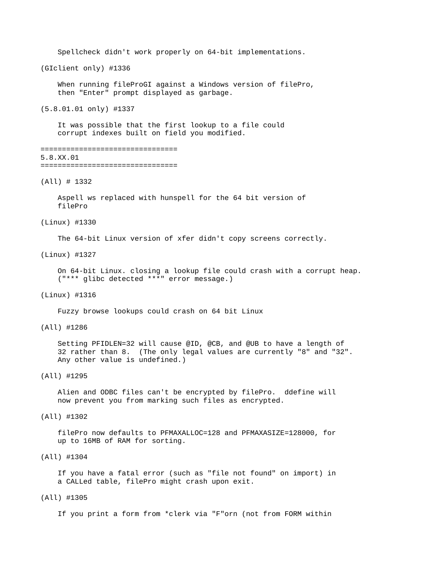Spellcheck didn't work properly on 64-bit implementations.

(GIclient only) #1336

 When running fileProGI against a Windows version of filePro, then "Enter" prompt displayed as garbage.

(5.8.01.01 only) #1337

 It was possible that the first lookup to a file could corrupt indexes built on field you modified.

================================ 5.8.XX.01 ================================

### (All) # 1332

 Aspell ws replaced with hunspell for the 64 bit version of filePro

#### (Linux) #1330

The 64-bit Linux version of xfer didn't copy screens correctly.

### (Linux) #1327

 On 64-bit Linux. closing a lookup file could crash with a corrupt heap. ("\*\*\* glibc detected \*\*\*" error message.)

#### (Linux) #1316

Fuzzy browse lookups could crash on 64 bit Linux

### (All) #1286

 Setting PFIDLEN=32 will cause @ID, @CB, and @UB to have a length of 32 rather than 8. (The only legal values are currently "8" and "32". Any other value is undefined.)

### (All) #1295

 Alien and ODBC files can't be encrypted by filePro. ddefine will now prevent you from marking such files as encrypted.

(All) #1302

 filePro now defaults to PFMAXALLOC=128 and PFMAXASIZE=128000, for up to 16MB of RAM for sorting.

# (All) #1304

 If you have a fatal error (such as "file not found" on import) in a CALLed table, filePro might crash upon exit.

### (All) #1305

If you print a form from \*clerk via "F"orn (not from FORM within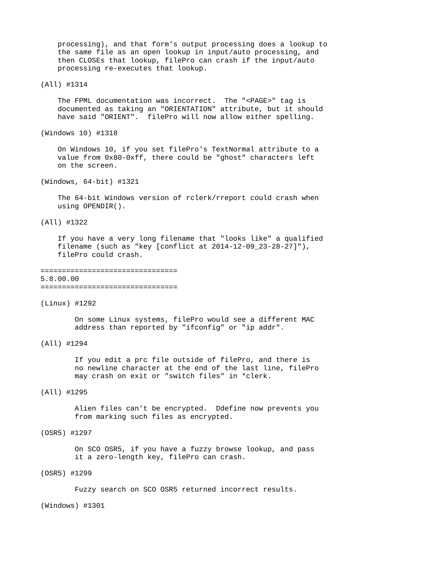processing), and that form's output processing does a lookup to the same file as an open lookup in input/auto processing, and then CLOSEs that lookup, filePro can crash if the input/auto processing re-executes that lookup.

# (All) #1314

 The FPML documentation was incorrect. The "<PAGE>" tag is documented as taking an "ORIENTATION" attribute, but it should have said "ORIENT". filePro will now allow either spelling.

(Windows 10) #1318

 On Windows 10, if you set filePro's TextNormal attribute to a value from 0x80-0xff, there could be "ghost" characters left on the screen.

(Windows, 64-bit) #1321

 The 64-bit Windows version of rclerk/rreport could crash when using OPENDIR().

### (All) #1322

 If you have a very long filename that "looks like" a qualified filename (such as "key [conflict at 2014-12-09\_23-28-27]"), filePro could crash.

# ================================ 5.8.00.00

================================

(Linux) #1292

 On some Linux systems, filePro would see a different MAC address than reported by "ifconfig" or "ip addr".

(All) #1294

 If you edit a prc file outside of filePro, and there is no newline character at the end of the last line, filePro may crash on exit or "switch files" in \*clerk.

# (All) #1295

 Alien files can't be encrypted. Ddefine now prevents you from marking such files as encrypted.

### (OSR5) #1297

 On SCO OSR5, if you have a fuzzy browse lookup, and pass it a zero-length key, filePro can crash.

# (OSR5) #1299

Fuzzy search on SCO OSR5 returned incorrect results.

(Windows) #1301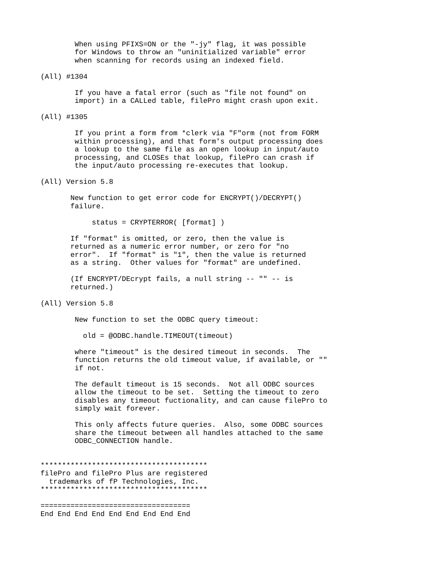When using PFIXS=ON or the "-jy" flag, it was possible for Windows to throw an "uninitialized variable" error when scanning for records using an indexed field.

## (All) #1304

 If you have a fatal error (such as "file not found" on import) in a CALLed table, filePro might crash upon exit.

# (All) #1305

 If you print a form from \*clerk via "F"orm (not from FORM within processing), and that form's output processing does a lookup to the same file as an open lookup in input/auto processing, and CLOSEs that lookup, filePro can crash if the input/auto processing re-executes that lookup.

# (All) Version 5.8

 New function to get error code for ENCRYPT()/DECRYPT() failure.

```
 status = CRYPTERROR( [format] )
```
 If "format" is omitted, or zero, then the value is returned as a numeric error number, or zero for "no error". If "format" is "1", then the value is returned as a string. Other values for "format" are undefined.

 (If ENCRYPT/DEcrypt fails, a null string -- "" -- is returned.)

(All) Version 5.8

New function to set the ODBC query timeout:

old = @ODBC.handle.TIMEOUT(timeout)

 where "timeout" is the desired timeout in seconds. The function returns the old timeout value, if available, or "" if not.

 The default timeout is 15 seconds. Not all ODBC sources allow the timeout to be set. Setting the timeout to zero disables any timeout fuctionality, and can cause filePro to simply wait forever.

 This only affects future queries. Also, some ODBC sources share the timeout between all handles attached to the same ODBC CONNECTION handle.

\*\*\*\*\*\*\*\*\*\*\*\*\*\*\*\*\*\*\*\*\*\*\*\*\*\*\*\*\*\*\*\*\*\*\*\*\*\*\* filePro and filePro Plus are registered trademarks of fP Technologies, Inc. \*\*\*\*\*\*\*\*\*\*\*\*\*\*\*\*\*\*\*\*\*\*\*\*\*\*\*\*\*\*\*\*\*\*\*\*\*\*\*

=================================== End End End End End End End End End